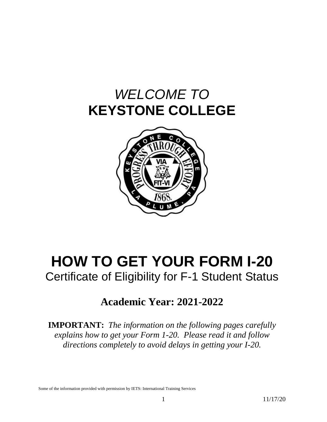# *WELCOME TO* **KEYSTONE COLLEGE**



# **HOW TO GET YOUR FORM I-20** Certificate of Eligibility for F-1 Student Status

# **Academic Year: 2021-2022**

**IMPORTANT:** *The information on the following pages carefully explains how to get your Form 1-20. Please read it and follow directions completely to avoid delays in getting your I-20.*

Some of the information provided with permission by IETS: International Training Services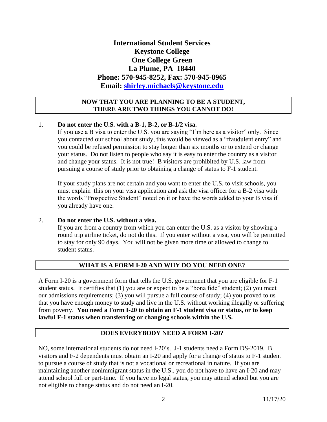### **International Student Services Keystone College One College Green La Plume, PA 18440 Phone: 570-945-8252, Fax: 570-945-8965 Email: [shirley.michaels@keystone.edu](mailto:shirley.michaels@keystone.edu)**

#### **NOW THAT YOU ARE PLANNING TO BE A STUDENT, THERE ARE TWO THINGS YOU CANNOT DO!**

#### 1. **Do not enter the U.S. with a B-1, B-2, or B-1/2 visa.**

If you use a B visa to enter the U.S. you are saying "I'm here as a visitor" only. Since you contacted our school about study, this would be viewed as a "fraudulent entry" and you could be refused permission to stay longer than six months or to extend or change your status. Do not listen to people who say it is easy to enter the country as a visitor and change your status. It is not true! B visitors are prohibited by U.S. law from pursuing a course of study prior to obtaining a change of status to F-1 student.

If your study plans are not certain and you want to enter the U.S. to visit schools, you must explain this on your visa application and ask the visa officer for a B-2 visa with the words "Prospective Student" noted on it or have the words added to your B visa if you already have one.

#### 2. **Do not enter the U.S. without a visa.**

If you are from a country from which you can enter the U.S. as a visitor by showing a round trip airline ticket, do not do this. If you enter without a visa, you will be permitted to stay for only 90 days. You will not be given more time or allowed to change to student status.

#### **WHAT IS A FORM I-20 AND WHY DO YOU NEED ONE?**

A Form I-20 is a government form that tells the U.S. government that you are eligible for F-1 student status. It certifies that (1) you are or expect to be a "bona fide" student; (2) you meet our admissions requirements; (3) you will pursue a full course of study; (4) you proved to us that you have enough money to study and live in the U.S. without working illegally or suffering from poverty. **You need a Form I-20 to obtain an F-1 student visa or status, or to keep lawful F-1 status when transferring or changing schools within the U.S.**

#### **DOES EVERYBODY NEED A FORM I-20?**

NO, some international students do not need I-20's. J-1 students need a Form DS-2019. B visitors and F-2 dependents must obtain an I-20 and apply for a change of status to F-1 student to pursue a course of study that is not a vocational or recreational in nature. If you are maintaining another nonimmigrant status in the U.S., you do not have to have an I-20 and may attend school full or part-time. If you have no legal status, you may attend school but you are not eligible to change status and do not need an I-20.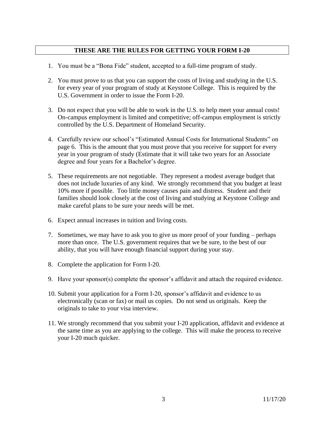#### **THESE ARE THE RULES FOR GETTING YOUR FORM I-20**

- 1. You must be a "Bona Fide" student, accepted to a full-time program of study.
- 2. You must prove to us that you can support the costs of living and studying in the U.S. for every year of your program of study at Keystone College. This is required by the U.S. Government in order to issue the Form I-20.
- 3. Do not expect that you will be able to work in the U.S. to help meet your annual costs! On-campus employment is limited and competitive; off-campus employment is strictly controlled by the U.S. Department of Homeland Security.
- 4. Carefully review our school's "Estimated Annual Costs for International Students" on page 6. This is the amount that you must prove that you receive for support for every year in your program of study (Estimate that it will take two years for an Associate degree and four years for a Bachelor's degree.
- 5. These requirements are not negotiable. They represent a modest average budget that does not include luxuries of any kind. We strongly recommend that you budget at least 10% more if possible. Too little money causes pain and distress. Student and their families should look closely at the cost of living and studying at Keystone College and make careful plans to be sure your needs will be met.
- 6. Expect annual increases in tuition and living costs.
- 7. Sometimes, we may have to ask you to give us more proof of your funding perhaps more than once. The U.S. government requires that we be sure, to the best of our ability, that you will have enough financial support during your stay.
- 8. Complete the application for Form I-20.
- 9. Have your sponsor(s) complete the sponsor's affidavit and attach the required evidence.
- 10. Submit your application for a Form I-20, sponsor's affidavit and evidence to us electronically (scan or fax) or mail us copies. Do not send us originals. Keep the originals to take to your visa interview.
- 11. We strongly recommend that you submit your I-20 application, affidavit and evidence at the same time as you are applying to the college. This will make the process to receive your I-20 much quicker.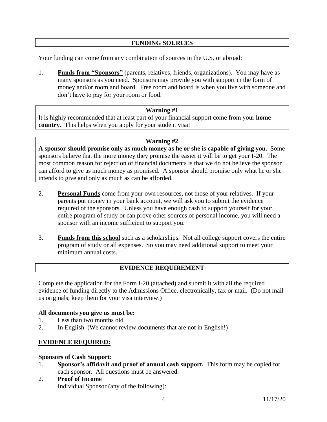#### **FUNDING SOURCES**

Your funding can come from any combination of sources in the U.S. or abroad:

1. **Funds from "Sponsors"** (parents, relatives, friends, organizations). You may have as many sponsors as you need. Sponsors may provide you with support in the form of money and/or room and board. Free room and board is when you live with someone and don't have to pay for your room or food.

#### **Warning #1**

It is highly recommended that at least part of your financial support come from your **home country**. This helps when you apply for your student visa!

#### **Warning #2**

**A sponsor should promise only as much money as he or she is capable of giving you.** Some sponsors believe that the more money they promise the easier it will be to get your I-20. The most common reason for rejection of financial documents is that we do not believe the sponsor can afford to give as much money as promised. A sponsor should promise only what he or she intends to give and only as much as can be afforded.

- 2. **Personal Funds** come from your own resources, not those of your relatives. If your parents put money in your bank account, we will ask you to submit the evidence required of the sponsors. Unless you have enough cash to support yourself for your entire program of study or can prove other sources of personal income, you will need a sponsor with an income sufficient to support you.
- 3. **Funds from this school** such as a scholarships. Not all college support covers the entire program of study or all expenses. So you may need additional support to meet your minimum annual costs.

#### **EVIDENCE REQUIREMENT**

Complete the application for the Form I-20 (attached) and submit it with all the required evidence of funding directly to the Admissions Office, electronically, fax or mail. (Do not mail us originals; keep them for your visa interview.)

#### **All documents you give us must be:**

- 1. Less than two months old
- 2. In English (We cannot review documents that are not in English!)

#### **EVIDENCE REQUIRED:**

#### **Sponsors of Cash Support:**

- 1. **Sponsor's affidavit and proof of annual cash support.** This form may be copied for each sponsor. All questions must be answered.
- 2. **Proof of Income** Individual Sponsor (any of the following):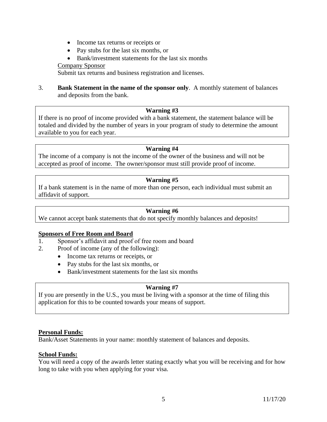- Income tax returns or receipts or
- Pay stubs for the last six months, or
- Bank/investment statements for the last six months

Company Sponsor

Submit tax returns and business registration and licenses.

3. **Bank Statement in the name of the sponsor only**. A monthly statement of balances and deposits from the bank.

#### **Warning #3**

If there is no proof of income provided with a bank statement, the statement balance will be totaled and divided by the number of years in your program of study to determine the amount available to you for each year.

#### **Warning #4**

The income of a company is not the income of the owner of the business and will not be accepted as proof of income. The owner/sponsor must still provide proof of income.

#### **Warning #5**

If a bank statement is in the name of more than one person, each individual must submit an affidavit of support.

#### **Warning #6**

We cannot accept bank statements that do not specify monthly balances and deposits!

#### **Sponsors of Free Room and Board**

- 1. Sponsor's affidavit and proof of free room and board
- 2. Proof of income (any of the following):
	- Income tax returns or receipts, or
	- Pay stubs for the last six months, or
	- Bank/investment statements for the last six months

#### **Warning #7**

If you are presently in the U.S., you must be living with a sponsor at the time of filing this application for this to be counted towards your means of support.

#### **Personal Funds:**

Bank/Asset Statements in your name: monthly statement of balances and deposits.

#### **School Funds:**

You will need a copy of the awards letter stating exactly what you will be receiving and for how long to take with you when applying for your visa.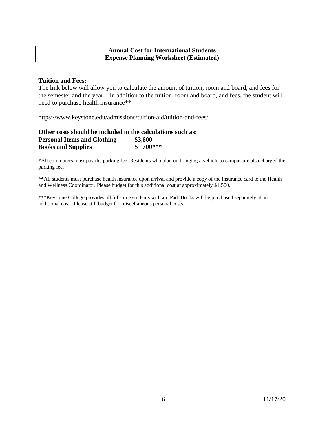#### **Annual Cost for International Students Expense Planning Worksheet (Estimated)**

#### **Tuition and Fees:**

The link below will allow you to calculate the amount of tuition, room and board, and fees for the semester and the year. In addition to the tuition, room and board, and fees, the student will need to purchase health insurance\*\*

https://www.keystone.edu/admissions/tuition-aid/tuition-and-fees/

| Other costs should be included in the calculations such as: |           |
|-------------------------------------------------------------|-----------|
| <b>Personal Items and Clothing</b>                          | \$3,600   |
| <b>Books and Supplies</b>                                   | $$700***$ |

\*All commuters must pay the parking fee; Residents who plan on bringing a vehicle to campus are also charged the parking fee.

\*\*All students must purchase health insurance upon arrival and provide a copy of the insurance card to the Health and Wellness Coordinator. Please budget for this additional cost at approximately \$1,500.

\*\*\*Keystone College provides all full-time students with an iPad. Books will be purchased separately at an additional cost. Please still budget for miscellaneous personal costs.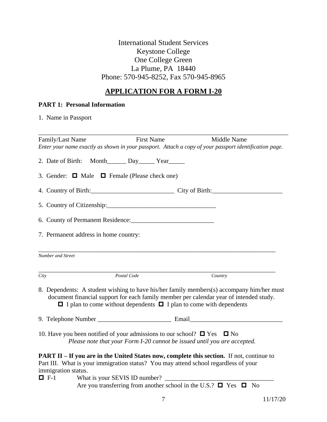### International Student Services Keystone College One College Green La Plume, PA 18440 Phone: 570-945-8252, Fax 570-945-8965

## **APPLICATION FOR A FORM I-20**

#### **PART 1: Personal Information**

1. Name in Passport

| Family/Last Name    | <b>First Name</b>                                                                                                                                                                                                             | Middle Name<br>Enter your name exactly as shown in your passport. Attach a copy of your passport identification page.                                                               |
|---------------------|-------------------------------------------------------------------------------------------------------------------------------------------------------------------------------------------------------------------------------|-------------------------------------------------------------------------------------------------------------------------------------------------------------------------------------|
|                     |                                                                                                                                                                                                                               |                                                                                                                                                                                     |
|                     | 2. Date of Birth: Month_______ Day_______ Year_______                                                                                                                                                                         |                                                                                                                                                                                     |
|                     | 3. Gender: $\Box$ Male $\Box$ Female (Please check one)                                                                                                                                                                       |                                                                                                                                                                                     |
|                     | 4. Country of Birth: Country of Birth:                                                                                                                                                                                        |                                                                                                                                                                                     |
|                     | 5. Country of Citizenship: 2008. [2010] [2010] [2010] [2010] [2010] [2010] [2010] [2010] [2010] [2010] [2010] [2010] [2010] [2010] [2010] [2010] [2010] [2010] [2010] [2010] [2010] [2010] [2010] [2010] [2010] [2010] [2010] |                                                                                                                                                                                     |
|                     |                                                                                                                                                                                                                               |                                                                                                                                                                                     |
|                     | 7. Permanent address in home country:                                                                                                                                                                                         |                                                                                                                                                                                     |
| Number and Street   |                                                                                                                                                                                                                               |                                                                                                                                                                                     |
|                     |                                                                                                                                                                                                                               |                                                                                                                                                                                     |
| City                | Postal Code                                                                                                                                                                                                                   | Country                                                                                                                                                                             |
|                     | $\Box$ I plan to come without dependents $\Box$ I plan to come with dependents                                                                                                                                                | 8. Dependents: A student wishing to have his/her family members(s) accompany him/her must<br>document financial support for each family member per calendar year of intended study. |
|                     |                                                                                                                                                                                                                               |                                                                                                                                                                                     |
|                     | 10. Have you been notified of your admissions to our school? $\Box$ Yes $\Box$ No<br>Please note that your Form I-20 cannot be issued until you are accepted.                                                                 |                                                                                                                                                                                     |
| immigration status. | Part III. What is your immigration status? You may attend school regardless of your                                                                                                                                           | <b>PART II – If you are in the United States now, complete this section.</b> If not, continue to                                                                                    |
|                     | $\Box$ F-1 What is your SEVIS ID number? $\Box$                                                                                                                                                                               |                                                                                                                                                                                     |
|                     | Are you transferring from another school in the U.S.? $\Box$ Yes $\Box$ No                                                                                                                                                    |                                                                                                                                                                                     |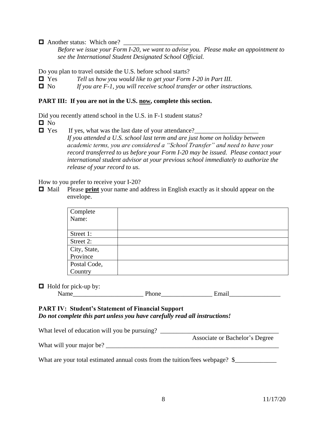$\Box$  Another status: Which one?

*Before we issue your Form I-20, we want to advise you. Please make an appointment to see the International Student Designated School Official.*

Do you plan to travel outside the U.S. before school starts?

- Yes *Tell us how you would like to get your Form I-20 in Part III.*
- No *If you are F-1, you will receive school transfer or other instructions.*

#### **PART III: If you are not in the U.S. now, complete this section.**

Did you recently attend school in the U.S. in F-1 student status?

 $\blacksquare$  No

 $\Box$  Yes If yes, what was the last date of your attendance?

*If you attended a U.S. school last term and are just home on holiday between academic terms, you are considered a "School Transfer" and need to have your record transferred to us before your Form I-20 may be issued. Please contact your international student advisor at your previous school immediately to authorize the release of your record to us.*

How to you prefer to receive your I-20?

 Mail Please **print** your name and address in English exactly as it should appear on the envelope.

| Complete     |  |
|--------------|--|
| Name:        |  |
|              |  |
| Street 1:    |  |
| Street 2:    |  |
| City, State, |  |
| Province     |  |
| Postal Code, |  |
| Country      |  |

#### $\Box$  Hold for pick-up by:

#### **PART IV: Student's Statement of Financial Support** *Do not complete this part unless you have carefully read all instructions!*

What level of education will you be pursuing? \_\_\_\_\_\_\_\_\_\_\_\_\_\_\_\_\_\_\_\_\_\_\_\_\_\_\_\_\_\_\_\_\_\_ Associate or Bachelor's Degree What will your major be? \_\_\_\_\_\_\_\_\_\_\_\_\_\_\_\_\_\_\_\_\_\_\_\_\_\_\_\_\_\_\_\_\_\_\_\_\_\_\_\_\_\_\_\_\_\_\_\_\_\_\_\_\_\_

What are your total estimated annual costs from the tuition/fees webpage? \$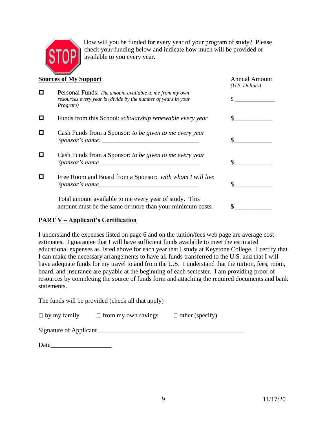

How will you be funded for every year of your program of study? Please check your funding below and indicate how much will be provided or available to you every year.

|   | <b>Sources of My Support</b>                                                                                                                                                                                                                                                              | <b>Annual Amount</b><br>$(U.S.$ Dollars) |
|---|-------------------------------------------------------------------------------------------------------------------------------------------------------------------------------------------------------------------------------------------------------------------------------------------|------------------------------------------|
| ш | Personal Funds: The amount available to me from my own<br>resources every year is (divide by the number of years in your<br>Program)                                                                                                                                                      |                                          |
|   | Funds from this School: scholarship renewable every year                                                                                                                                                                                                                                  |                                          |
| П | Cash Funds from a Sponsor: to be given to me every year                                                                                                                                                                                                                                   |                                          |
|   | Cash Funds from a Sponsor: to be given to me every year<br>Sponsor's name subsequently served by the served of the served of the served of the served of the served of the served of the served of the served of the served of the served of the served of the served of the served of th |                                          |
|   | Free Room and Board from a Sponsor: with whom I will live<br>Sponsor's name                                                                                                                                                                                                               |                                          |
|   | Total amount available to me every year of study. This<br>amount must be the same or more than your minimum costs.                                                                                                                                                                        |                                          |

#### **PART V – Applicant's Certification**

I understand the expenses listed on page 6 and on the tuition/fees web page are average cost estimates. I guarantee that I will have sufficient funds available to meet the estimated educational expenses as listed above for each year that I study at Keystone College. I certify that I can make the necessary arrangements to have all funds transferred to the U.S. and that I will have adequate funds for my travel to and from the U.S. I understand that the tuition, fees, room, board, and insurance are payable at the beginning of each semester. I am providing proof of resources by completing the source of funds form and attaching the required documents and bank statements.

The funds will be provided (check all that apply)

| $\Box$ by my family | $\Box$ from my own savings | $\Box$ other (specify) |
|---------------------|----------------------------|------------------------|
|                     |                            |                        |

Signature of Applicant

Date\_\_\_\_\_\_\_\_\_\_\_\_\_\_\_\_\_\_\_